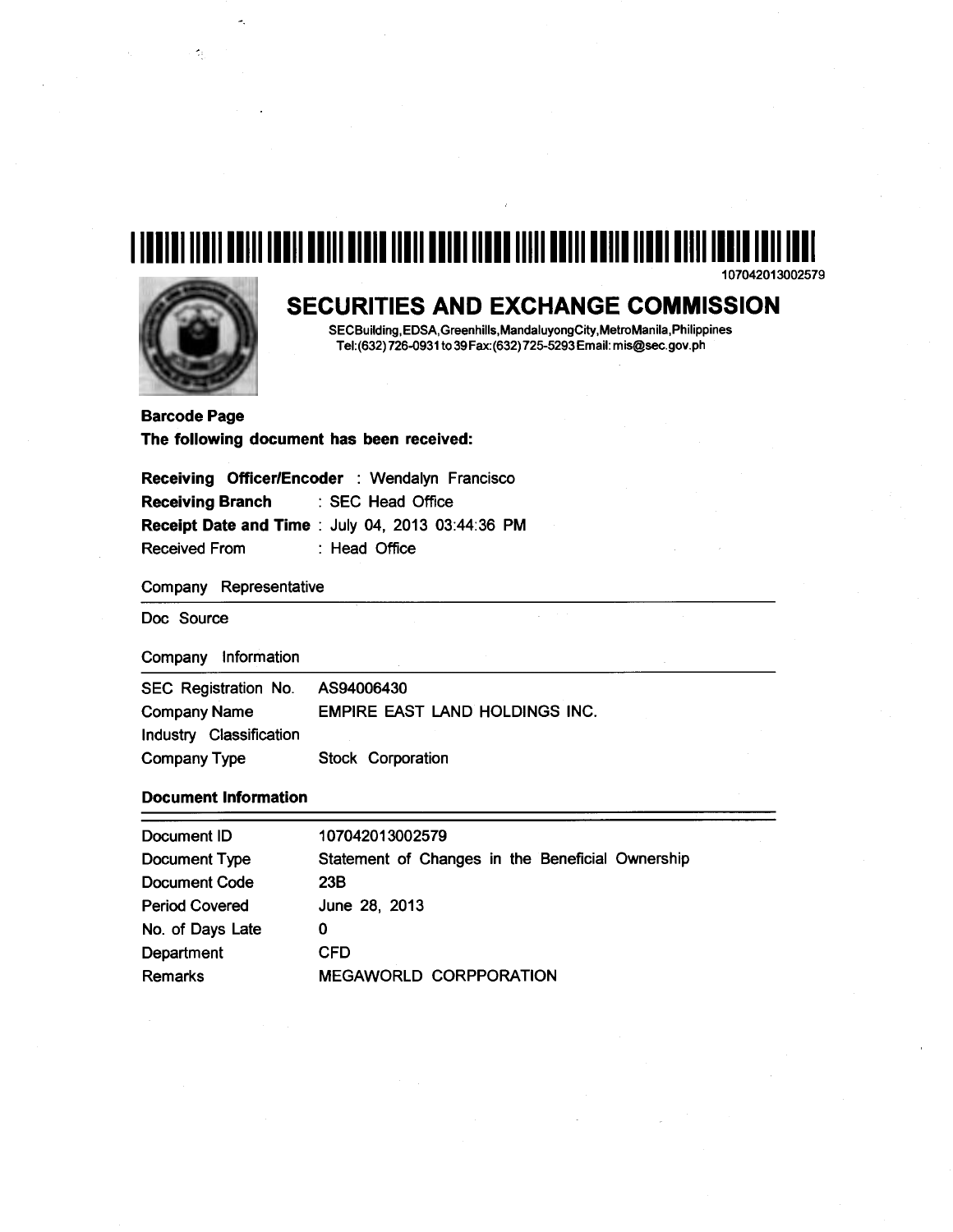# 1111111111111111111111111111111111111111111111111111111111111111111111111111111111111 107042013002579



 $\sim 2\mu$ 

# SECURITIES AND EXCHANGE COMMISSION

 $\mathbb{R}^2$ 

SECBuilding,EDSA,Greenhills,MandaluyongCity,MetroManila,Philippines Tel:(632) 726-0931 to 39 Fax:(632) 725-5293Email: mis@sec.gov.ph

Barcode Page The following document has been received:

|                         | Receiving Officer/Encoder : Wendalyn Francisco          |
|-------------------------|---------------------------------------------------------|
| <b>Receiving Branch</b> | : SEC Head Office                                       |
|                         | <b>Receipt Date and Time: July 04, 2013 03:44:36 PM</b> |
| <b>Received From</b>    | : Head Office                                           |

Company Representative

Doc Source

Company Information

| SEC Registration No.    | AS94006430                            |  |  |  |  |  |  |
|-------------------------|---------------------------------------|--|--|--|--|--|--|
| <b>Company Name</b>     | <b>EMPIRE EAST LAND HOLDINGS INC.</b> |  |  |  |  |  |  |
| Industry Classification |                                       |  |  |  |  |  |  |
| Company Type            | <b>Stock Corporation</b>              |  |  |  |  |  |  |

## Document Information

| Document ID           | 107042013002579                                  |
|-----------------------|--------------------------------------------------|
| Document Type         | Statement of Changes in the Beneficial Ownership |
| Document Code         | 23B                                              |
| <b>Period Covered</b> | June 28, 2013                                    |
| No. of Days Late      | 0                                                |
| Department            | <b>CFD</b>                                       |
| <b>Remarks</b>        | <b>MEGAWORLD CORPPORATION</b>                    |
|                       |                                                  |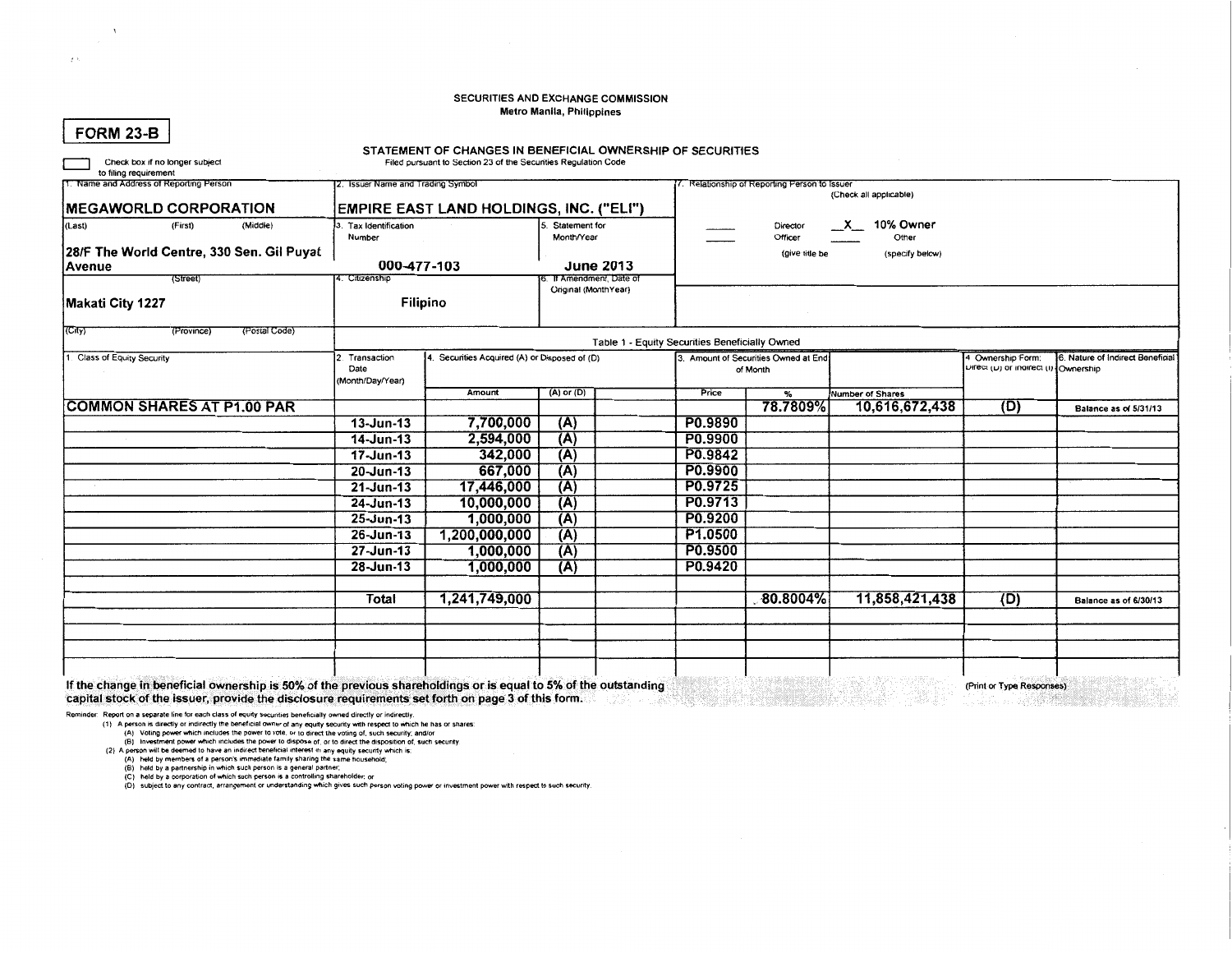#### SECURITIES AND EXCHANGE COMMISSION Metro Manila, Philippines

|  | FORM 23-B |
|--|-----------|
|  |           |

Check box if no longer subject

 $\epsilon$ 

### STATEMENT OF CHANGES IN BENEFICIAL OWNERSHIP OF SECURITIES

Filed pursuant to Section 23 of the Securities Regulation Code

| to filing requirement                     |                          |                                               |                |                      |                                                |                                                                         |                  |                                                           |                                  |  |  |  |
|-------------------------------------------|--------------------------|-----------------------------------------------|----------------|----------------------|------------------------------------------------|-------------------------------------------------------------------------|------------------|-----------------------------------------------------------|----------------------------------|--|--|--|
| 11. Name and Address of Reporting Person  |                          | 2. Issuer Name and Trading Symbol             |                |                      |                                                | 7. Relationship of Reporting Person to Issuer<br>(Check all applicable) |                  |                                                           |                                  |  |  |  |
| <b>IMEGAWORLD CORPORATION</b>             |                          | EMPIRE EAST LAND HOLDINGS, INC. ("ELI")       |                |                      |                                                |                                                                         |                  |                                                           |                                  |  |  |  |
| (Last)<br>(First)<br>(Middle)             | 3. Tax Identification    | Statement for                                 |                |                      | 10% Owner<br>$\mathsf{x}$<br>Director          |                                                                         |                  |                                                           |                                  |  |  |  |
|                                           | Number                   |                                               | Month/Year     |                      | Officer<br>Other                               |                                                                         |                  |                                                           |                                  |  |  |  |
| 28/F The World Centre, 330 Sen. Gil Puyat |                          |                                               |                |                      | (specify below)<br>(give title be              |                                                                         |                  |                                                           |                                  |  |  |  |
| Avenue                                    | 000-477-103              |                                               |                | <b>June 2013</b>     |                                                |                                                                         |                  |                                                           |                                  |  |  |  |
| (Street)                                  | 4. Citizenship           |                                               |                | T Amendment, Date of |                                                |                                                                         |                  |                                                           |                                  |  |  |  |
| Makati City 1227                          |                          | Original (MonthYear)<br>Filipino              |                |                      |                                                |                                                                         |                  |                                                           |                                  |  |  |  |
| (Postal Code)<br>(Province)<br>(City)     |                          |                                               |                |                      |                                                |                                                                         |                  |                                                           |                                  |  |  |  |
|                                           |                          |                                               |                |                      | Table 1 - Equity Securities Beneficially Owned |                                                                         |                  |                                                           |                                  |  |  |  |
| 1. Class of Equity Security               | Transaction              | 4. Securities Acquired (A) or Disposed of (D) |                |                      |                                                | 3. Amount of Securities Owned at End.                                   |                  | 4 Ownership Form:<br>Lurect (L) or indirect (I) Ownership | 6. Nature of Indirect Beneficial |  |  |  |
|                                           | Date<br>(Month/Day/Year) |                                               |                |                      |                                                | of Month                                                                |                  |                                                           |                                  |  |  |  |
|                                           |                          | Amount                                        | $(A)$ or $(D)$ |                      | Price                                          | $\frac{9}{6}$                                                           | Number of Shares |                                                           |                                  |  |  |  |
| <b>COMMON SHARES AT P1.00 PAR</b>         |                          |                                               |                |                      |                                                | 78.7809%                                                                | 10,616,672,438   | (D)                                                       | Balance as of 5/31/13            |  |  |  |
|                                           | $13 - Jun-13$            | 7,700,000                                     | (A)            |                      | P0.9890                                        |                                                                         |                  |                                                           |                                  |  |  |  |
|                                           | $14$ -Jun-13             | 2,594,000                                     | (A)            |                      | P0.9900                                        |                                                                         |                  |                                                           |                                  |  |  |  |
|                                           | 17-Jun-13                | 342,000                                       | (A)            |                      | P0.9842                                        |                                                                         |                  |                                                           |                                  |  |  |  |
|                                           | 20-Jun-13                | 667,000                                       | (A)            |                      | P0.9900                                        |                                                                         |                  |                                                           |                                  |  |  |  |
|                                           | $21 - Jun - 13$          | 17,446,000                                    | (A)            |                      | P0.9725                                        |                                                                         |                  |                                                           |                                  |  |  |  |
|                                           | 24-Jun-13                | 10,000,000                                    | (A)            |                      | P0.9713                                        |                                                                         |                  |                                                           |                                  |  |  |  |
|                                           | 25-Jun-13                | 1,000,000                                     | (A)            |                      | P0.9200                                        |                                                                         |                  |                                                           |                                  |  |  |  |
|                                           | 26-Jun-13                | 1,200,000,000                                 | (A)            |                      | P1.0500                                        |                                                                         |                  |                                                           |                                  |  |  |  |
|                                           | 27-Jun-13                | 1,000,000                                     | (A)            |                      | P0.9500                                        |                                                                         |                  |                                                           |                                  |  |  |  |
|                                           | 28-Jun-13                | 1,000,000                                     | (A)            |                      | P0.9420                                        |                                                                         |                  |                                                           |                                  |  |  |  |
|                                           |                          |                                               |                |                      |                                                |                                                                         |                  |                                                           |                                  |  |  |  |
|                                           | Total                    | 1,241,749,000                                 |                |                      |                                                | $80.8004\%$                                                             | 11,858,421,438   | (D)                                                       | Balance as of 6/30/13            |  |  |  |
|                                           |                          |                                               |                |                      |                                                |                                                                         |                  |                                                           |                                  |  |  |  |
|                                           |                          |                                               |                |                      |                                                |                                                                         |                  |                                                           |                                  |  |  |  |
|                                           |                          |                                               |                |                      |                                                |                                                                         |                  |                                                           |                                  |  |  |  |
|                                           |                          |                                               |                |                      |                                                |                                                                         |                  |                                                           |                                  |  |  |  |

(Print or Type Responses)

If the change in beneficial ownership is 50% of the previous shareholdings or is equal to 5% of the outstanding capital stock of the issuer, provide the disclosure requirements set forth on page 3 of this form.

Reminder: Report on a separate line for each class of equity securities beneficially owned directly or indirectly.

Nepture in the separation of the beneficial owner of any equily security with respect to which he has or shares:<br>
(A) A person is directly or indirectly the beneficial owner of any equily security with respect to which he

(B) held by a partnership in which such person is a general partner;<br>(C) held by a corporation of which such person is a controlling shareholder; or<br>(D) subject to any contract, arrangement or understanding which gives suc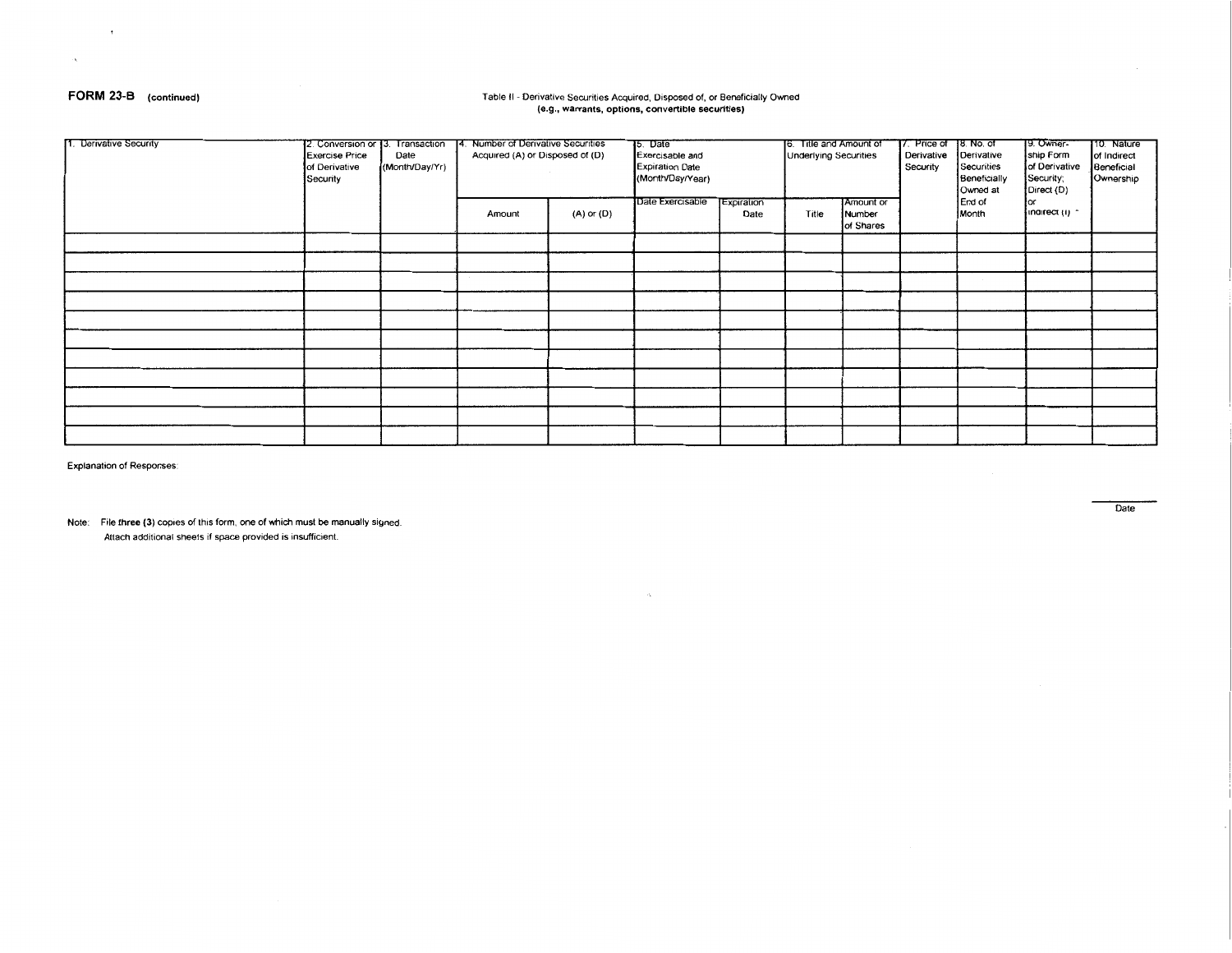## FORM 23-B (continued)

 $\rightarrow$ 

 $\alpha$ 

#### Table II - Derivative Securities Acquired, Disposed of, or Beneficially Owned (e.g., warrants, options, convertible securities)

| 1. Derivative Security | 12. Conversion or 13.<br><b>Exercise Price</b><br>of Derivative<br>Security | Transaction<br>Date<br>(Month/Day/Yr) | Number of Derivative Securities<br>14.<br>Acquired (A) or Disposed of (D) |            | 15. Date<br>Exercisable and<br><b>Expiration Date</b><br>(Month/Day/Year)<br>Date Exercisable<br>Expiration |      | 6. Title and Amount of<br><b>Underlying Securities</b><br>Amount or |                     | 7. Price of<br>Derivative<br>Security | <u>]8. No. of</u><br>Derivative<br>Securities<br>Beneficially<br>Owned at<br>End of | 9. Owner-<br>ship Form<br>of Derivative<br>Security;<br>Direct (D) | 10. Nature<br>of Indirect<br>Beneficial<br>Ownership |
|------------------------|-----------------------------------------------------------------------------|---------------------------------------|---------------------------------------------------------------------------|------------|-------------------------------------------------------------------------------------------------------------|------|---------------------------------------------------------------------|---------------------|---------------------------------------|-------------------------------------------------------------------------------------|--------------------------------------------------------------------|------------------------------------------------------|
|                        |                                                                             |                                       | Amount                                                                    | (A) or (D) |                                                                                                             | Date | Title                                                               | Number<br>of Shares |                                       | Month                                                                               | inairect (i) -                                                     |                                                      |
|                        |                                                                             |                                       |                                                                           |            |                                                                                                             |      |                                                                     |                     |                                       |                                                                                     |                                                                    |                                                      |
|                        |                                                                             |                                       |                                                                           |            |                                                                                                             |      |                                                                     |                     |                                       |                                                                                     |                                                                    |                                                      |
|                        |                                                                             |                                       |                                                                           |            |                                                                                                             |      |                                                                     |                     |                                       |                                                                                     |                                                                    |                                                      |
|                        |                                                                             |                                       |                                                                           |            |                                                                                                             |      |                                                                     |                     |                                       |                                                                                     |                                                                    |                                                      |
|                        |                                                                             |                                       |                                                                           |            |                                                                                                             |      |                                                                     |                     |                                       |                                                                                     |                                                                    |                                                      |
|                        |                                                                             |                                       |                                                                           |            |                                                                                                             |      |                                                                     |                     |                                       |                                                                                     |                                                                    |                                                      |
|                        |                                                                             |                                       |                                                                           |            |                                                                                                             |      |                                                                     |                     |                                       |                                                                                     |                                                                    |                                                      |
|                        |                                                                             |                                       |                                                                           |            |                                                                                                             |      |                                                                     |                     |                                       |                                                                                     |                                                                    |                                                      |
|                        |                                                                             |                                       |                                                                           |            |                                                                                                             |      |                                                                     |                     |                                       |                                                                                     |                                                                    |                                                      |
|                        |                                                                             |                                       |                                                                           |            |                                                                                                             |      |                                                                     |                     |                                       |                                                                                     |                                                                    |                                                      |
|                        |                                                                             |                                       |                                                                           |            |                                                                                                             |      |                                                                     |                     |                                       |                                                                                     |                                                                    |                                                      |

 $\mathcal{N}_\mathbb{R}$  .

Explanation of Responses:

Note: File three (3) copies of this form, one of which must be manually signed. Attach additional sheets if space provided is insufficient.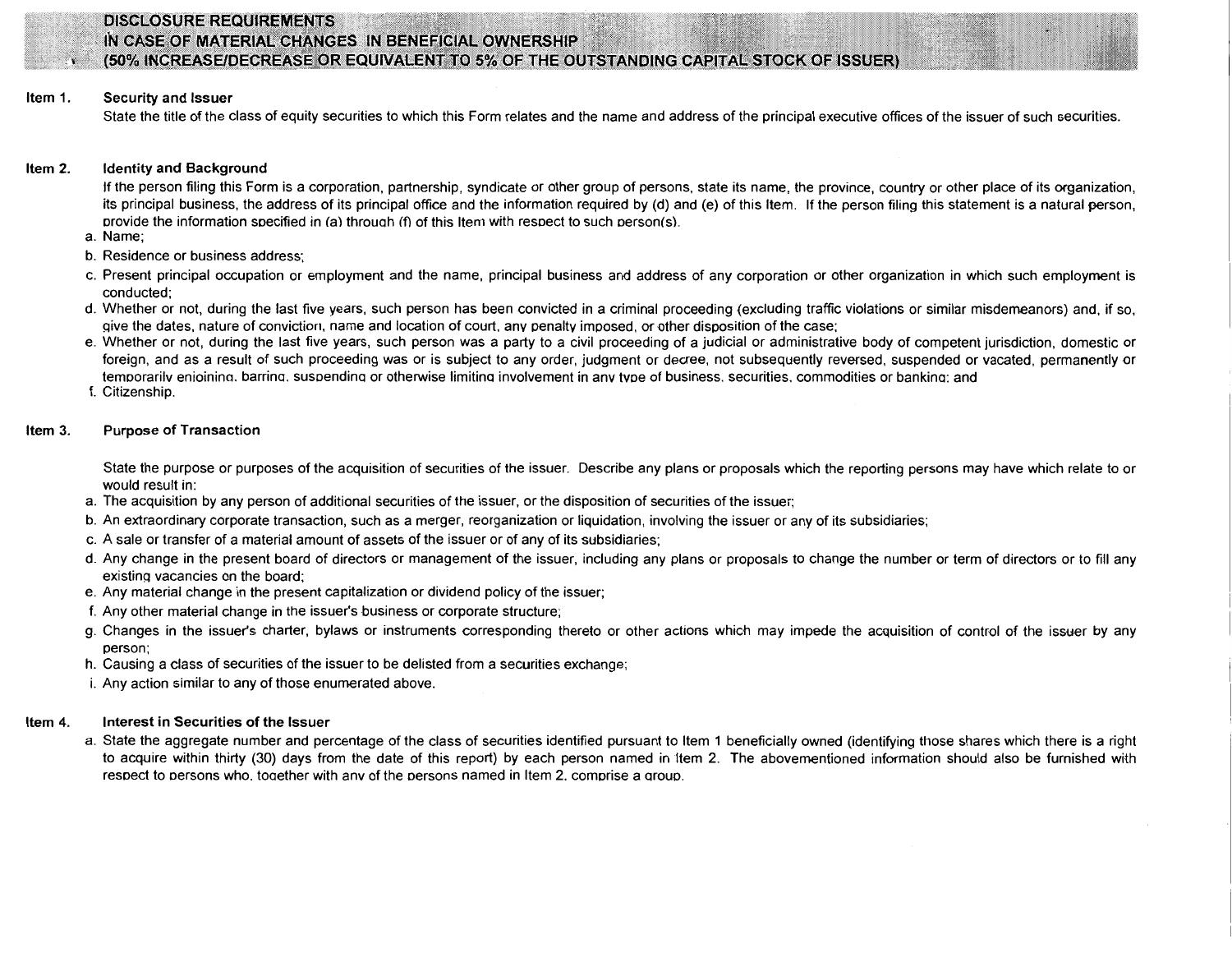

## DISCLOSURE REQUIREMENTS IN CASE OF MATERIAL CHANGES IN BENEFICIAL OWNERSHIP (50% INCREASE/DECREASE OR EQUIVALENT TO 5% OF THE OUTSTANDING CAPITAL STOCK OF ISSUER)

#### Item 1. Security and Issuer

State the title of the class of equity securities to which this Form relates and the name and address of the principal executive offices of the issuer of such securities.

#### Item 2. Identity and Background

If the person filing this Form is a corporation, partnership, syndicate or other group of persons, state its name, the province, country or other place of its organization, its principal business, the address of its principal office and the information required by (d) and (e) of this Item. If the person filing this statement is a natural person, orovide the information soecified in (a) throuah (f) of this Item with resoect to such oerson(s).

- a. Name;
- b. Residence or business address;
- c. Present principal occupation or employment and the name, principal business and address of any corporation or other organization in which such employment is conducted;
- d. Whether or not, during the last five years, such person has been convicted in a criminal proceeding (excluding traffic violations or similar misdemeanors) and, if so, give the dates, nature of conviction, name and location of court, any penalty imposed, or other disposition of the case;
- e. Whether or not, during the last five years, such person was a party to a civil proceeding of a judicial or administrative body of competent jurisdiction, domestic or foreign, and as a result of such proceeding was or is subject to any order, judgment or decree, not subsequently reversed, suspended or vacated, permanently or temoorarilv enioinina. barrina. susoendina or otherwise limitina involvement in anv tvoe of business. securities. commodities or bankina: and
- f. Citizenship.

#### Item 3. Purpose of Transaction

State the purpose or purposes of the acquisition of securities of the issuer. Describe any plans or proposals which the reporting persons may have which relate to or would result in:

- a. The acquisition by any person of additional securities of the issuer, or the disposition of securities of the issuer;
- b. An extraordinary corporate transaction, such as a merger, reorganization or liquidation, involving the issuer or any of its subsidiaries;
- c. A sale or transfer of a material amount of assets of the issuer or of any of its subsidiaries;
- d. Any change in the present board of directors or management of the issuer, including any plans or proposals to change the number or term of directors or to fill any existing vacancies on the board;
- e. Any material change in the present capitalization or dividend policy of the issuer;
- f. Any other material change in the issuer's business or corporate structure;
- g. Changes in the issuer's charter, bylaws or instruments corresponding thereto or other actions which may impede the acquisition of control of the issuer by any person;
- h. Causing a class of securities of the issuer to be delisted from a securities exchange;
- i. Any action similar to any of those enumerated above.

#### Item 4. Interest in Securities of the Issuer

a. State the aggregate number and percentage of the class of securities identified pursuant to Item 1 beneficially owned (identifying those shares which there is a right to acquire within thirty (30) days from the date of this report) by each person named in Item 2. The abovementioned information should also be furnished with resoect to oersons who. toaether with anv of the oersons named in Item 2. comorise a arouo.